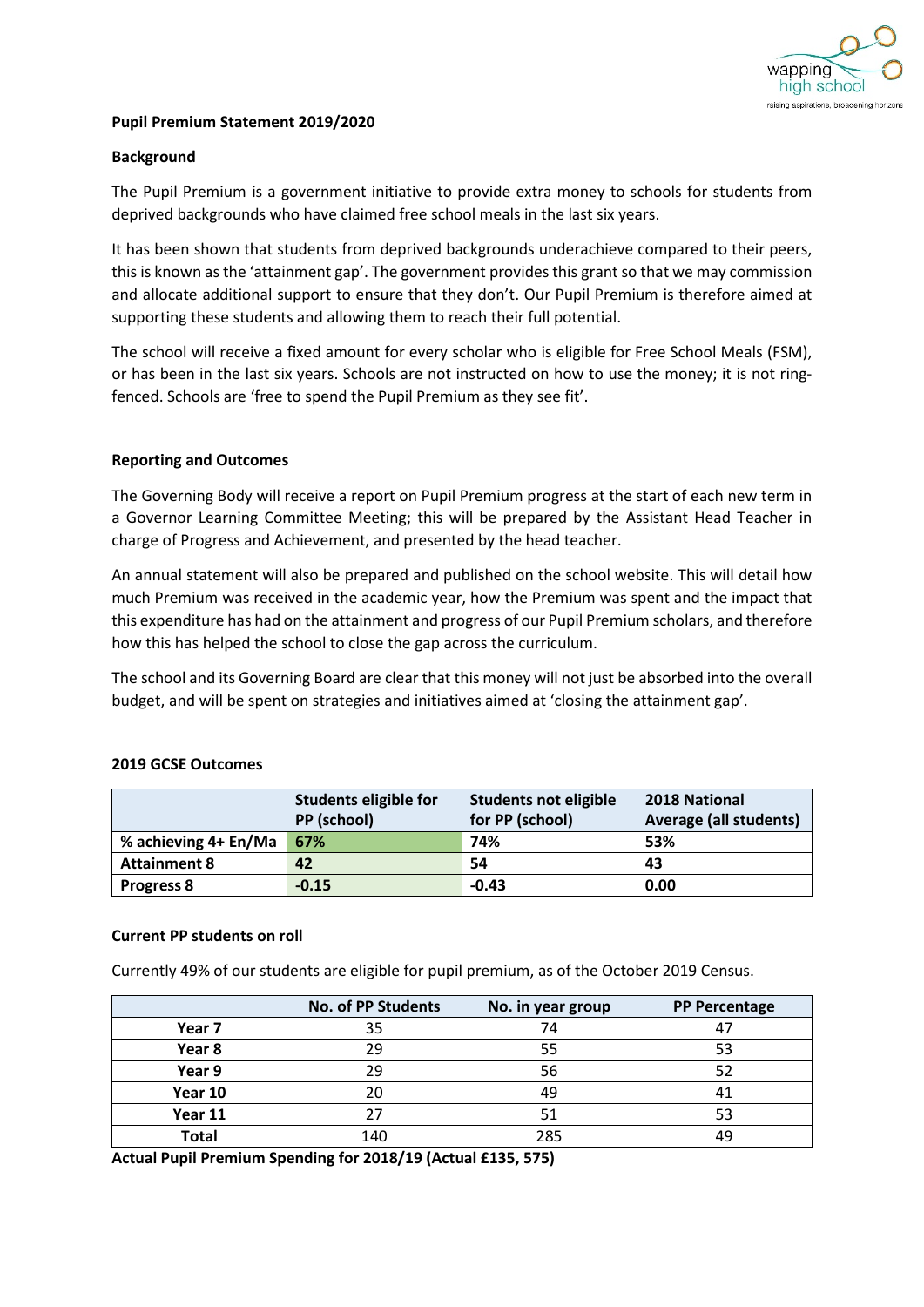

## **Pupil Premium Statement 2019/2020**

## **Background**

The Pupil Premium is a government initiative to provide extra money to schools for students from deprived backgrounds who have claimed free school meals in the last six years.

It has been shown that students from deprived backgrounds underachieve compared to their peers, this is known as the 'attainment gap'. The government provides this grant so that we may commission and allocate additional support to ensure that they don't. Our Pupil Premium is therefore aimed at supporting these students and allowing them to reach their full potential.

The school will receive a fixed amount for every scholar who is eligible for Free School Meals (FSM), or has been in the last six years. Schools are not instructed on how to use the money; it is not ringfenced. Schools are 'free to spend the Pupil Premium as they see fit'.

### **Reporting and Outcomes**

The Governing Body will receive a report on Pupil Premium progress at the start of each new term in a Governor Learning Committee Meeting; this will be prepared by the Assistant Head Teacher in charge of Progress and Achievement, and presented by the head teacher.

An annual statement will also be prepared and published on the school website. This will detail how much Premium was received in the academic year, how the Premium was spent and the impact that this expenditure has had on the attainment and progress of our Pupil Premium scholars, and therefore how this has helped the school to close the gap across the curriculum.

The school and its Governing Board are clear that this money will not just be absorbed into the overall budget, and will be spent on strategies and initiatives aimed at 'closing the attainment gap'.

#### **2019 GCSE Outcomes**

|                      | <b>Students eligible for</b> | Students not eligible | 2018 National          |
|----------------------|------------------------------|-----------------------|------------------------|
|                      | PP (school)                  | for PP (school)       | Average (all students) |
| % achieving 4+ En/Ma | 67%                          | 74%                   | 53%                    |
| <b>Attainment 8</b>  | 42                           | 54                    | 43                     |
| <b>Progress 8</b>    | $-0.15$                      | $-0.43$               | 0.00                   |

#### **Current PP students on roll**

Currently 49% of our students are eligible for pupil premium, as of the October 2019 Census.

|              | <b>No. of PP Students</b> | No. in year group | <b>PP Percentage</b> |
|--------------|---------------------------|-------------------|----------------------|
| Year 7       | 35                        | 74                |                      |
| Year 8       | 29                        | 55                |                      |
| Year 9       | 29                        | 56                |                      |
| Year 10      | 20                        | 49                |                      |
| Year 11      | 27                        | 51                |                      |
| <b>Total</b> | 140                       | 285               | 49                   |

**Actual Pupil Premium Spending for 2018/19 (Actual £135, 575)**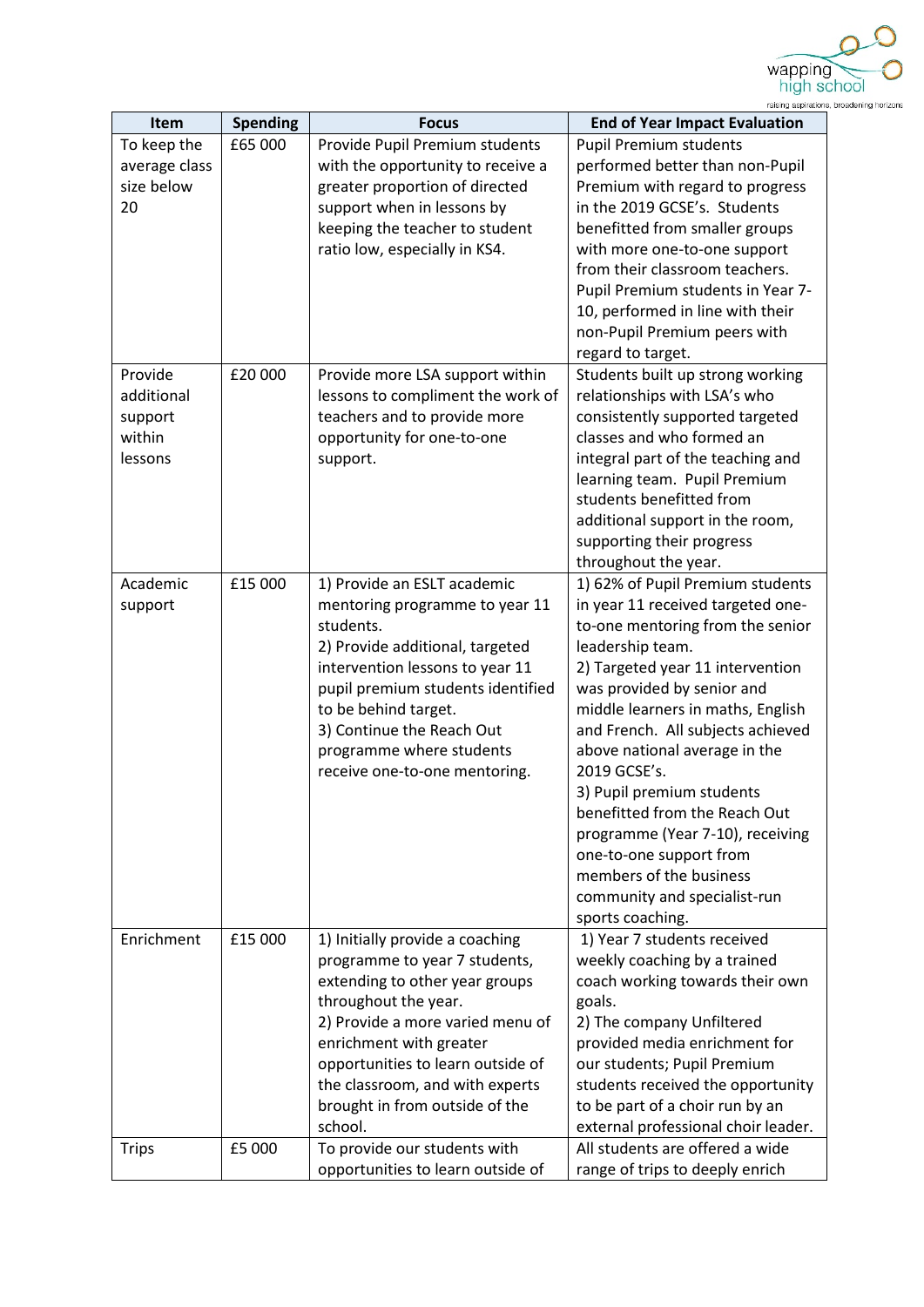

| Item                                                  | <b>Spending</b> | <b>Focus</b>                                                                                                                                                                                                                                                                                                   | <b>End of Year Impact Evaluation</b>                                                                                                                                                                                                                                                                                                                                                                                                                                                                                                   |
|-------------------------------------------------------|-----------------|----------------------------------------------------------------------------------------------------------------------------------------------------------------------------------------------------------------------------------------------------------------------------------------------------------------|----------------------------------------------------------------------------------------------------------------------------------------------------------------------------------------------------------------------------------------------------------------------------------------------------------------------------------------------------------------------------------------------------------------------------------------------------------------------------------------------------------------------------------------|
| To keep the<br>average class<br>size below<br>20      | £65 000         | Provide Pupil Premium students<br>with the opportunity to receive a<br>greater proportion of directed<br>support when in lessons by<br>keeping the teacher to student<br>ratio low, especially in KS4.                                                                                                         | <b>Pupil Premium students</b><br>performed better than non-Pupil<br>Premium with regard to progress<br>in the 2019 GCSE's. Students<br>benefitted from smaller groups<br>with more one-to-one support<br>from their classroom teachers.<br>Pupil Premium students in Year 7-<br>10, performed in line with their<br>non-Pupil Premium peers with<br>regard to target.                                                                                                                                                                  |
| Provide<br>additional<br>support<br>within<br>lessons | £20 000         | Provide more LSA support within<br>lessons to compliment the work of<br>teachers and to provide more<br>opportunity for one-to-one<br>support.                                                                                                                                                                 | Students built up strong working<br>relationships with LSA's who<br>consistently supported targeted<br>classes and who formed an<br>integral part of the teaching and<br>learning team. Pupil Premium<br>students benefitted from<br>additional support in the room,<br>supporting their progress<br>throughout the year.                                                                                                                                                                                                              |
| Academic<br>support                                   | £15 000         | 1) Provide an ESLT academic<br>mentoring programme to year 11<br>students.<br>2) Provide additional, targeted<br>intervention lessons to year 11<br>pupil premium students identified<br>to be behind target.<br>3) Continue the Reach Out<br>programme where students<br>receive one-to-one mentoring.        | 1) 62% of Pupil Premium students<br>in year 11 received targeted one-<br>to-one mentoring from the senior<br>leadership team.<br>2) Targeted year 11 intervention<br>was provided by senior and<br>middle learners in maths, English<br>and French. All subjects achieved<br>above national average in the<br>2019 GCSE's.<br>3) Pupil premium students<br>benefitted from the Reach Out<br>programme (Year 7-10), receiving<br>one-to-one support from<br>members of the business<br>community and specialist-run<br>sports coaching. |
| Enrichment                                            | £15 000         | 1) Initially provide a coaching<br>programme to year 7 students,<br>extending to other year groups<br>throughout the year.<br>2) Provide a more varied menu of<br>enrichment with greater<br>opportunities to learn outside of<br>the classroom, and with experts<br>brought in from outside of the<br>school. | 1) Year 7 students received<br>weekly coaching by a trained<br>coach working towards their own<br>goals.<br>2) The company Unfiltered<br>provided media enrichment for<br>our students; Pupil Premium<br>students received the opportunity<br>to be part of a choir run by an<br>external professional choir leader.                                                                                                                                                                                                                   |
| <b>Trips</b>                                          | £5 000          | To provide our students with<br>opportunities to learn outside of                                                                                                                                                                                                                                              | All students are offered a wide<br>range of trips to deeply enrich                                                                                                                                                                                                                                                                                                                                                                                                                                                                     |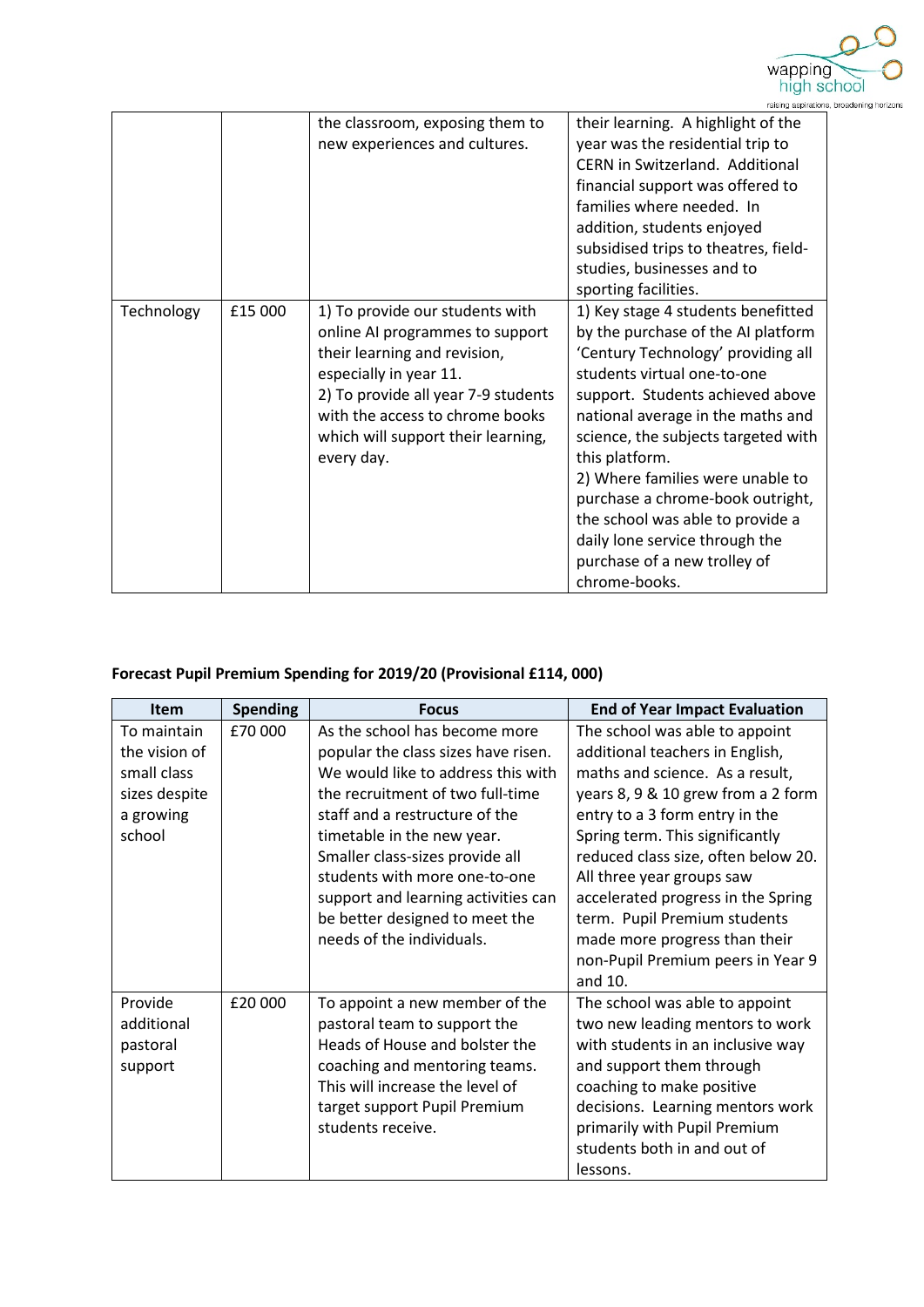

|            |         | the classroom, exposing them to     | their learning. A highlight of the   |
|------------|---------|-------------------------------------|--------------------------------------|
|            |         | new experiences and cultures.       | year was the residential trip to     |
|            |         |                                     | CERN in Switzerland. Additional      |
|            |         |                                     | financial support was offered to     |
|            |         |                                     | families where needed. In            |
|            |         |                                     | addition, students enjoyed           |
|            |         |                                     | subsidised trips to theatres, field- |
|            |         |                                     | studies, businesses and to           |
|            |         |                                     | sporting facilities.                 |
| Technology | £15 000 | 1) To provide our students with     | 1) Key stage 4 students benefitted   |
|            |         | online AI programmes to support     | by the purchase of the AI platform   |
|            |         | their learning and revision,        | 'Century Technology' providing all   |
|            |         | especially in year 11.              | students virtual one-to-one          |
|            |         | 2) To provide all year 7-9 students | support. Students achieved above     |
|            |         | with the access to chrome books     | national average in the maths and    |
|            |         | which will support their learning,  | science, the subjects targeted with  |
|            |         | every day.                          | this platform.                       |
|            |         |                                     | 2) Where families were unable to     |
|            |         |                                     | purchase a chrome-book outright,     |
|            |         |                                     | the school was able to provide a     |
|            |         |                                     | daily lone service through the       |
|            |         |                                     | purchase of a new trolley of         |
|            |         |                                     | chrome-books.                        |

# **Forecast Pupil Premium Spending for 2019/20 (Provisional £114, 000)**

| <b>Item</b>                                                                         | <b>Spending</b> | <b>Focus</b>                                                                                                                                                                                                                                                                                                                                                                             | <b>End of Year Impact Evaluation</b>                                                                                                                                                                                                                                                                                                                                                                                                       |
|-------------------------------------------------------------------------------------|-----------------|------------------------------------------------------------------------------------------------------------------------------------------------------------------------------------------------------------------------------------------------------------------------------------------------------------------------------------------------------------------------------------------|--------------------------------------------------------------------------------------------------------------------------------------------------------------------------------------------------------------------------------------------------------------------------------------------------------------------------------------------------------------------------------------------------------------------------------------------|
| To maintain<br>the vision of<br>small class<br>sizes despite<br>a growing<br>school | £70 000         | As the school has become more<br>popular the class sizes have risen.<br>We would like to address this with<br>the recruitment of two full-time<br>staff and a restructure of the<br>timetable in the new year.<br>Smaller class-sizes provide all<br>students with more one-to-one<br>support and learning activities can<br>be better designed to meet the<br>needs of the individuals. | The school was able to appoint<br>additional teachers in English,<br>maths and science. As a result,<br>years 8, 9 & 10 grew from a 2 form<br>entry to a 3 form entry in the<br>Spring term. This significantly<br>reduced class size, often below 20.<br>All three year groups saw<br>accelerated progress in the Spring<br>term. Pupil Premium students<br>made more progress than their<br>non-Pupil Premium peers in Year 9<br>and 10. |
| Provide<br>additional<br>pastoral<br>support                                        | £20 000         | To appoint a new member of the<br>pastoral team to support the<br>Heads of House and bolster the<br>coaching and mentoring teams.<br>This will increase the level of<br>target support Pupil Premium<br>students receive.                                                                                                                                                                | The school was able to appoint<br>two new leading mentors to work<br>with students in an inclusive way<br>and support them through<br>coaching to make positive<br>decisions. Learning mentors work<br>primarily with Pupil Premium<br>students both in and out of<br>lessons.                                                                                                                                                             |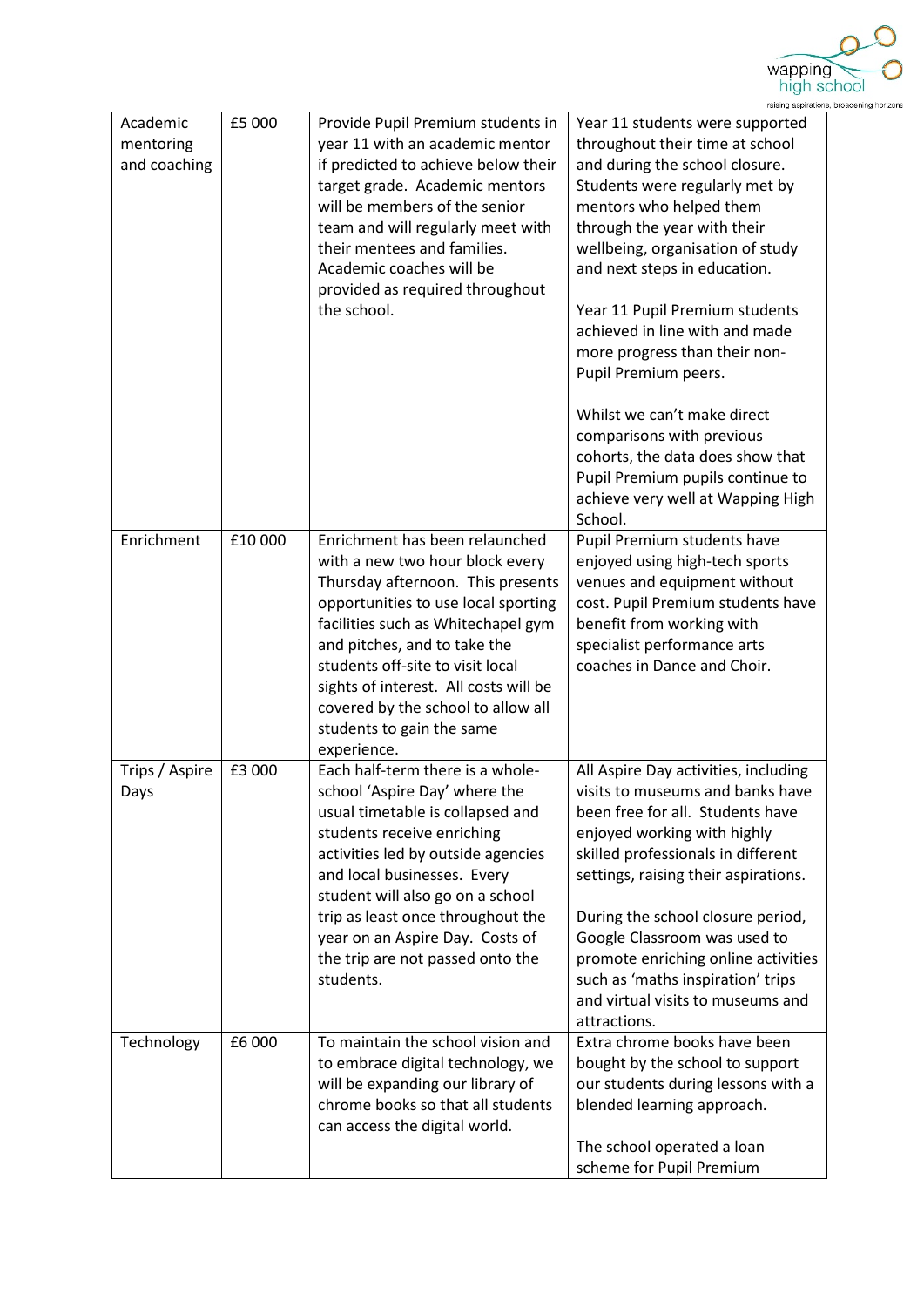

|                                       |         |                                                                                                                                                                                                                                                                                                                                                                                    | raising aspirations                                                                                                                                                                                                                                                                                                                                                                                                                                                                                                                                                                   |
|---------------------------------------|---------|------------------------------------------------------------------------------------------------------------------------------------------------------------------------------------------------------------------------------------------------------------------------------------------------------------------------------------------------------------------------------------|---------------------------------------------------------------------------------------------------------------------------------------------------------------------------------------------------------------------------------------------------------------------------------------------------------------------------------------------------------------------------------------------------------------------------------------------------------------------------------------------------------------------------------------------------------------------------------------|
| Academic<br>mentoring<br>and coaching | £5 000  | Provide Pupil Premium students in<br>year 11 with an academic mentor<br>if predicted to achieve below their<br>target grade. Academic mentors<br>will be members of the senior<br>team and will regularly meet with<br>their mentees and families.<br>Academic coaches will be<br>provided as required throughout<br>the school.                                                   | Year 11 students were supported<br>throughout their time at school<br>and during the school closure.<br>Students were regularly met by<br>mentors who helped them<br>through the year with their<br>wellbeing, organisation of study<br>and next steps in education.<br>Year 11 Pupil Premium students<br>achieved in line with and made<br>more progress than their non-<br>Pupil Premium peers.<br>Whilst we can't make direct<br>comparisons with previous<br>cohorts, the data does show that<br>Pupil Premium pupils continue to<br>achieve very well at Wapping High<br>School. |
| Enrichment                            | £10 000 | Enrichment has been relaunched<br>with a new two hour block every<br>Thursday afternoon. This presents<br>opportunities to use local sporting<br>facilities such as Whitechapel gym<br>and pitches, and to take the<br>students off-site to visit local<br>sights of interest. All costs will be<br>covered by the school to allow all<br>students to gain the same<br>experience. | Pupil Premium students have<br>enjoyed using high-tech sports<br>venues and equipment without<br>cost. Pupil Premium students have<br>benefit from working with<br>specialist performance arts<br>coaches in Dance and Choir.                                                                                                                                                                                                                                                                                                                                                         |
| Trips / Aspire<br>Days                | £3 000  | Each half-term there is a whole-<br>school 'Aspire Day' where the<br>usual timetable is collapsed and<br>students receive enriching<br>activities led by outside agencies<br>and local businesses. Every<br>student will also go on a school<br>trip as least once throughout the<br>year on an Aspire Day. Costs of<br>the trip are not passed onto the<br>students.              | All Aspire Day activities, including<br>visits to museums and banks have<br>been free for all. Students have<br>enjoyed working with highly<br>skilled professionals in different<br>settings, raising their aspirations.<br>During the school closure period,<br>Google Classroom was used to<br>promote enriching online activities<br>such as 'maths inspiration' trips<br>and virtual visits to museums and<br>attractions.                                                                                                                                                       |
| Technology                            | £6 000  | To maintain the school vision and<br>to embrace digital technology, we<br>will be expanding our library of<br>chrome books so that all students<br>can access the digital world.                                                                                                                                                                                                   | Extra chrome books have been<br>bought by the school to support<br>our students during lessons with a<br>blended learning approach.<br>The school operated a loan<br>scheme for Pupil Premium                                                                                                                                                                                                                                                                                                                                                                                         |